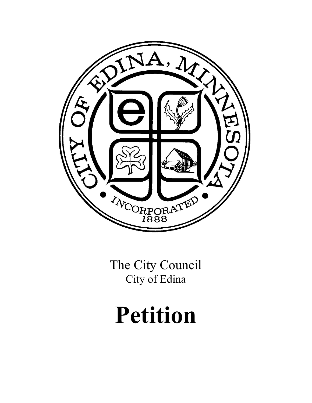

The City Council City of Edina

# **Petition**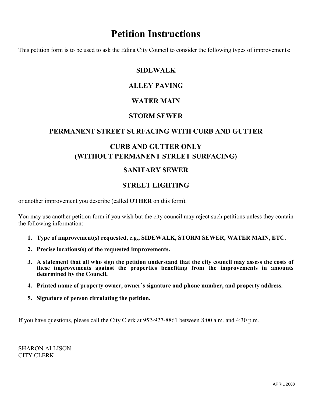### **Petition Instructions**

This petition form is to be used to ask the Edina City Council to consider the following types of improvements:

#### **SIDEWALK**

#### **ALLEY PAVING**

#### **WATER MAIN**

#### **STORM SEWER**

#### **PERMANENT STREET SURFACING WITH CURB AND GUTTER**

#### **CURB AND GUTTER ONLY (WITHOUT PERMANENT STREET SURFACING)**

#### **SANITARY SEWER**

#### **STREET LIGHTING**

or another improvement you describe (called **OTHER** on this form).

You may use another petition form if you wish but the city council may reject such petitions unless they contain the following information:

- **1. Type of improvement(s) requested, e.g., SIDEWALK, STORM SEWER, WATER MAIN, ETC.**
- **2. Precise locations(s) of the requested improvements.**
- **3. A statement that all who sign the petition understand that the city council may assess the costs of these improvements against the properties benefiting from the improvements in amounts determined by the Council.**
- **4. Printed name of property owner, owner's signature and phone number, and property address.**
- **5. Signature of person circulating the petition.**

If you have questions, please call the City Clerk at 952-927-8861 between 8:00 a.m. and 4:30 p.m.

SHARON ALLISON CITY CLERK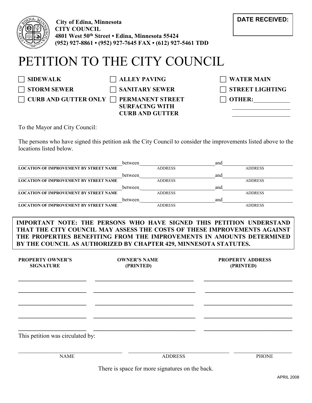

**City of Edina, Minnesota CITY COUNCIL 4801 West 50th Street • Edina, Minnesota 55424 ( (952) 927-8861 • (952) 927-7645 FAX • (612) 927-5461 TDD**

## PETITION TO THE CITY COUNCIL

| SIDEWALK                                            | $\Box$ ALLEY PAVING                             | $\Box$ WATER MAIN      |
|-----------------------------------------------------|-------------------------------------------------|------------------------|
| <b>STORM SEWER</b>                                  | $\Box$ SANITARY SEWER                           | $\Box$ STREET LIGHTING |
| $\mid$ CURB AND GUTTER ONLY $\Box$ PERMANENT STREET | <b>SURFACING WITH</b><br><b>CURB AND GUTTER</b> | $\Box$ OTHER:          |

To the Mayor and City Council:

The persons who have signed this petition ask the City Council to consider the improvements listed above to the locations listed below.

|                                               | between |                | and |                |
|-----------------------------------------------|---------|----------------|-----|----------------|
| <b>LOCATION OF IMPROVEMENT BY STREET NAME</b> |         | <b>ADDRESS</b> |     | <b>ADDRESS</b> |
|                                               | between |                | and |                |
| <b>LOCATION OF IMPROVEMENT BY STREET NAME</b> |         | <b>ADDRESS</b> |     | <b>ADDRESS</b> |
|                                               | between |                | and |                |
| <b>LOCATION OF IMPROVEMENT BY STREET NAME</b> |         | <b>ADDRESS</b> |     | <b>ADDRESS</b> |
|                                               | between |                | and |                |
| <b>LOCATION OF IMPROVEMENT BY STREET NAME</b> |         | <b>ADDRESS</b> |     | <b>ADDRESS</b> |

#### **IMPORTANT NOTE: THE PERSONS WHO HAVE SIGNED THIS PETITION UNDERSTAND THAT THE CITY COUNCIL MAY ASSESS THE COSTS OF THESE IMPROVEMENTS AGAINST THE PROPERTIES BENEFITING FROM THE IMPROVEMENTS IN AMOUNTS DETERMINED BY THE COUNCIL AS AUTHORIZED BY CHAPTER 429, MINNESOTA STATUTES.**

| <b>PROPERTY OWNER'S</b><br><b>SIGNATURE</b> | <b>OWNER'S NAME</b><br>(PRINTED) | <b>PROPERTY ADDRESS</b><br>(PRINTED) |
|---------------------------------------------|----------------------------------|--------------------------------------|
|                                             |                                  |                                      |
|                                             |                                  |                                      |
|                                             |                                  |                                      |
| This petition was circulated by:            |                                  |                                      |
| <b>NAME</b>                                 | <b>ADDRESS</b>                   | <b>PHONE</b>                         |

There is space for more signatures on the back.

**DATE RECEIVED:**